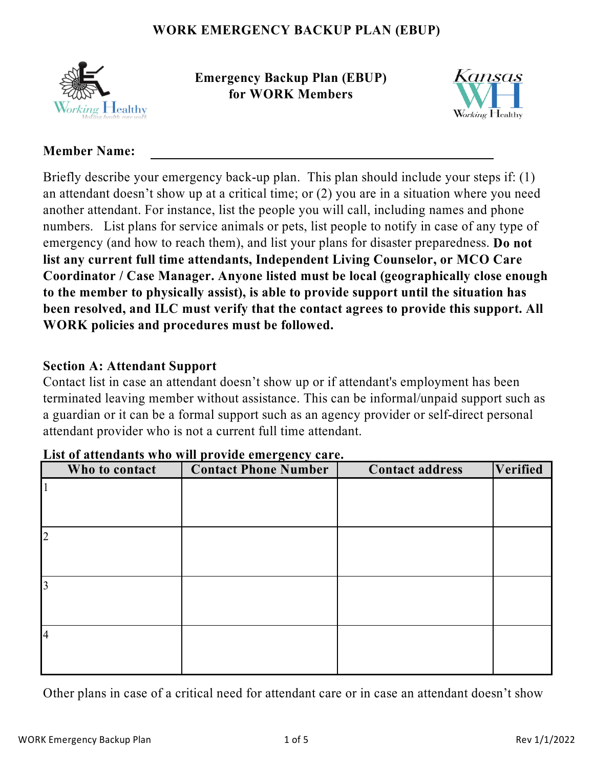

**Emergency Backup Plan (EBUP) for WORK Members**



#### **Member Name:**

Briefly describe your emergency back-up plan. This plan should include your steps if: (1) an attendant doesn't show up at a critical time; or (2) you are in a situation where you need another attendant. For instance, list the people you will call, including names and phone numbers. List plans for service animals or pets, list people to notify in case of any type of emergency (and how to reach them), and list your plans for disaster preparedness. **Do not list any current full time attendants, Independent Living Counselor, or MCO Care Coordinator / Case Manager. Anyone listed must be local (geographically close enough to the member to physically assist), is able to provide support until the situation has been resolved, and ILC must verify that the contact agrees to provide this support. All WORK policies and procedures must be followed.**

#### **Section A: Attendant Support**

Contact list in case an attendant doesn't show up or if attendant's employment has been terminated leaving member without assistance. This can be informal/unpaid support such as a guardian or it can be a formal support such as an agency provider or self-direct personal attendant provider who is not a current full time attendant.

| Who to contact | <b>Contact Phone Number</b> | <b>Contact address</b> | <b>Verified</b> |
|----------------|-----------------------------|------------------------|-----------------|
|                |                             |                        |                 |
|                |                             |                        |                 |
|                |                             |                        |                 |
| $\overline{2}$ |                             |                        |                 |
|                |                             |                        |                 |
|                |                             |                        |                 |
| 3              |                             |                        |                 |
|                |                             |                        |                 |
|                |                             |                        |                 |
| $\overline{4}$ |                             |                        |                 |
|                |                             |                        |                 |
|                |                             |                        |                 |

#### **List of attendants who will provide emergency care.**

Other plans in case of a critical need for attendant care or in case an attendant doesn't show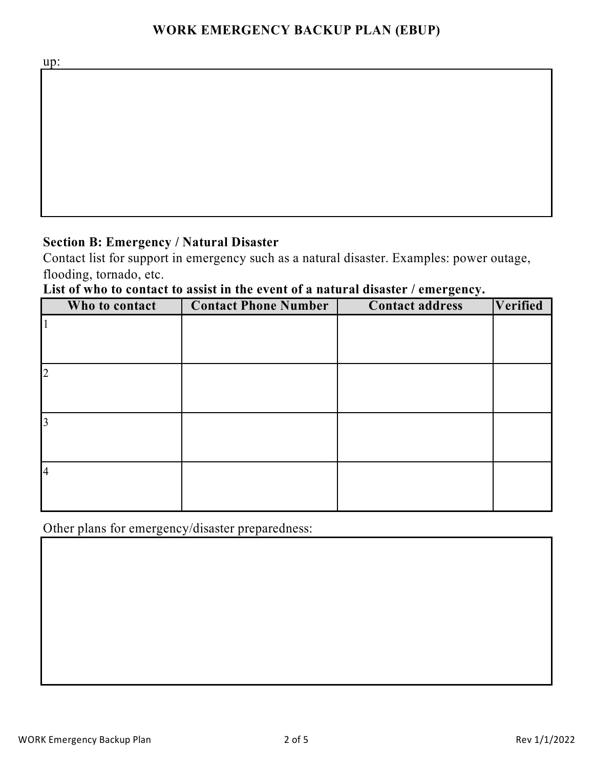up:

# **Section B: Emergency / Natural Disaster**

Contact list for support in emergency such as a natural disaster. Examples: power outage, flooding, tornado, etc.

# **List of who to contact to assist in the event of a natural disaster / emergency.**

|                | Who to contact | <b>Contact Phone Number</b> | $\mathbf{\ddot{o}}$<br>$\ddot{\phantom{1}}$<br><b>Contact address</b> | Verified |
|----------------|----------------|-----------------------------|-----------------------------------------------------------------------|----------|
|                |                |                             |                                                                       |          |
|                |                |                             |                                                                       |          |
|                |                |                             |                                                                       |          |
| $\overline{2}$ |                |                             |                                                                       |          |
|                |                |                             |                                                                       |          |
|                |                |                             |                                                                       |          |
| 3              |                |                             |                                                                       |          |
|                |                |                             |                                                                       |          |
|                |                |                             |                                                                       |          |
| $\overline{4}$ |                |                             |                                                                       |          |
|                |                |                             |                                                                       |          |
|                |                |                             |                                                                       |          |

Other plans for emergency/disaster preparedness: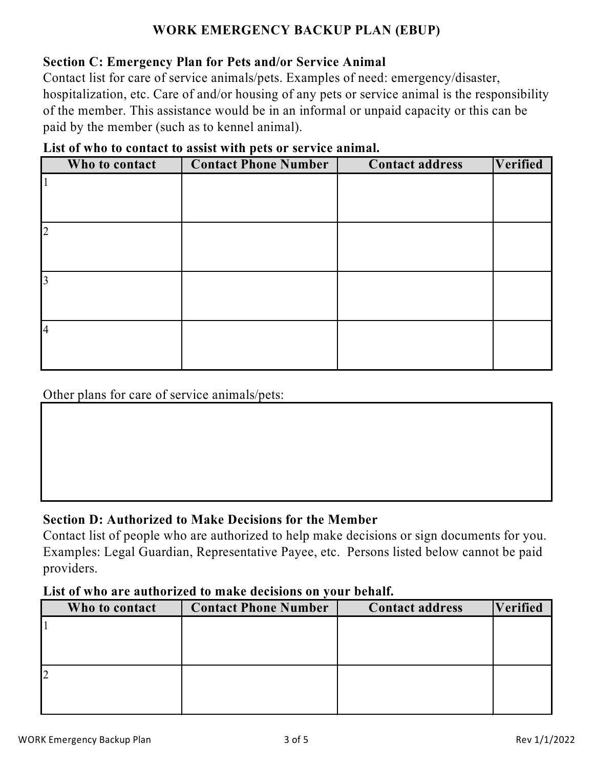#### **Section C: Emergency Plan for Pets and/or Service Animal**

Contact list for care of service animals/pets. Examples of need: emergency/disaster, hospitalization, etc. Care of and/or housing of any pets or service animal is the responsibility of the member. This assistance would be in an informal or unpaid capacity or this can be paid by the member (such as to kennel animal).

| List of who to contact to assist with pets or service animal. |  |  |  |  |  |  |
|---------------------------------------------------------------|--|--|--|--|--|--|
|---------------------------------------------------------------|--|--|--|--|--|--|

|                | Who to contact | <b>Contact Phone Number</b> | <b>Contact address</b> | Verified |
|----------------|----------------|-----------------------------|------------------------|----------|
|                |                |                             |                        |          |
|                |                |                             |                        |          |
|                |                |                             |                        |          |
| $\overline{2}$ |                |                             |                        |          |
|                |                |                             |                        |          |
|                |                |                             |                        |          |
| $\overline{3}$ |                |                             |                        |          |
|                |                |                             |                        |          |
|                |                |                             |                        |          |
| <b>4</b>       |                |                             |                        |          |
|                |                |                             |                        |          |
|                |                |                             |                        |          |

Other plans for care of service animals/pets:

## **Section D: Authorized to Make Decisions for the Member**

Contact list of people who are authorized to help make decisions or sign documents for you. Examples: Legal Guardian, Representative Payee, etc. Persons listed below cannot be paid providers.

#### **List of who are authorized to make decisions on your behalf.**

|   | Who to contact | <b>Contact Phone Number</b> | <b>Contact address</b> | <b>Verified</b> |
|---|----------------|-----------------------------|------------------------|-----------------|
|   |                |                             |                        |                 |
|   |                |                             |                        |                 |
|   |                |                             |                        |                 |
| ∠ |                |                             |                        |                 |
|   |                |                             |                        |                 |
|   |                |                             |                        |                 |